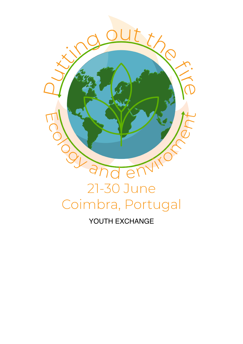

# YOUTH EXCHANGE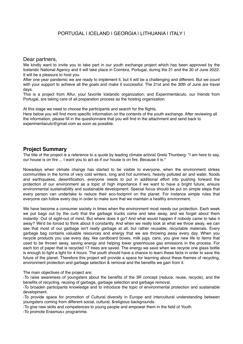# PORTUGAL | ICELAND | GEORGIA | LITHUANIA | ITALY |

#### Dear partners,

We kindly want to invite you to take part in our youth exchange project which has been approved by the Icelandic National Agency and it will take place in Coimbra, Portugal, during the 21 and the 30 of June 2022. It will be a pleasure to host you.

After one year pandemic we are ready to implement it, but it will be a challenging and different. But we count with your support to achieve all the goals and make it successful. The 21st and the 30th of June are travel days.

This is a project from Álfur, your favorite Icelandic organization; and Experimentáculo, our friends from Portugal, are taking care of all preparation process as the hosting organization.

At this stage we need to choose the participants and search for the flights.

Here below you will find more specific information on the contents of the youth exchange. After reviewing all the information, please fill in the questionnaire that you will find in the attachment and send back to experimentaculo@gmail.com as soon as possible.

#### **Project Summary**

The title of the project is a reference to a quote by leading climate activist Greta Thunberg: "I am here to say, our house is on fire ... I want you to act as if our house is on fire. Because it is."

Nowadays when climate change has started to be visible to everyone, when the environment strikes communities in the forms of very cold winters, long and hot summers, heavily polluted air and water, floods and earthquakes, desertification, everyone needs to put in additional effort into pushing forward the protection of our environment as a topic of high importance if we want to have a bright future, ensure environmental sustainability and sustainable development. Special focus should be put on simple steps that every person can undertake to reduce their eco-footprint on the planet. For instance simple rules that everyone can follow every day in order to make sure that we maintain a healthy environment.

We have become a consumer society in times when the environment most needs our protection. Each week we put bags out by the curb that the garbage trucks come and take away, and we forget about them instantly: Out of sight-out of mind. But where does it go? And what would happen if nobody came to take it away? We'd be forced to think about it constantly. And when we really look at what we throw away, we can see that most of our garbage isn't really garbage at all, but rather reusable, recyclable materials. Every garbage bag contains valuable resources and energy that we are throwing away every day. When you recycle products you use every day, like cardboard boxes, milk jugs, cans, you give new life to items that used to be thrown away, saving energy and helping lower greenhouse gas emissions in the process. For each ton of paper that is recycled 17 trees are saved. The energy we save when we recycle one glass bottle is enough to light a light for 4 hours. The youth should have a chance to learn these facts in order to save the future of the planet. Therefore this project will provide a space for learning about these themes of recycling, environment protection and garbage selection & removal and the benefits we gain from it.

The main objectives of the project are:

-To raise awareness of youngsters about the benefits of the 3R concept (reduce, reuse, recycle), and the benefits of recycling, reusing of garbage, garbage selection and garbage removal.

-To broaden participants knowledge and to introduce the topic of environmental protection and sustainable development.

-To provide space for promotion of Cultural diversity in Europe and intercultural understanding between youngsters coming from different social, cultural, &religious backgrounds.

-To give new skills and competences to young people and empower them in the field of Youth.

-To promote Erasmus+ programme.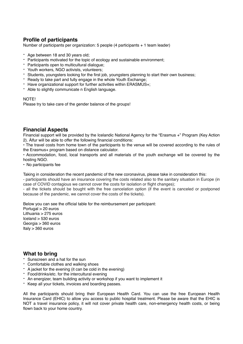# **Profile of participants**

Number of participants per organization: 5 people (4 participants + 1 team leader)

- Age between 18 and 30 years old;
- Participants motivated for the topic of ecology and sustainable environment;
- Participants open to multicultural dialogue;
- Youth workers, NGO activists, volunteers;
- Students, youngsters looking for the first job, youngsters planning to start their own business;
- Ready to take part and fully engage in the whole Youth Exchange;
- Have organizational support for further activities within ERASMUS+;
- Able to slightly communicate n English language.

#### NOTE!

Please try to take care of the gender balance of the groups!

### **Financial Aspects**

Financial support will be provided by the Icelandic National Agency for the "Erasmus +" Program (Key Action 2). Álfur will be able to offer the following financial conditions:

• The travel costs from home town of the participants to the venue will be covered according to the rules of the Erasmus+ program based on distance calculator.

• Accommodation, food, local transports and all materials of the youth exchange will be covered by the hosting NGO.

• No participants fee

Taking in consideration the recent pandemic of the new coronavirus, please take in consideration this:

- participants should have an insurance covering the costs related also to the sanitary situation in Europe (in case of COVID contagious we cannot cover the costs for isolation or flight changes);

- all the tickets should be bought with the free cancelation option (if the event is canceled or postponed because of the pandemic, we cannot cover the costs of the tickets).

Below you can see the official table for the reimbursement per participant:

Portugal > 20 euros Lithuania > 275 euros Iceland > 530 euros Georgia > 360 euros Italy  $> 360$  euros

# **What to bring**

- Sunscreen and a hat for the sun
- Comfortable clothes and walking shoes
- A jacket for the evening (it can be cold in the evening)
- Food/drinks/etc. for the intercultural evening
- An energizer, team building activity or workshop if you want to implement it
- Keep all your tickets, invoices and boarding passes.

All the participants should bring their European Health Card. You can use the free European Health Insurance Card (EHIC) to allow you access to public hospital treatment. Please be aware that the EHIC is NOT a travel insurance policy, it will not cover private health care, non-emergency health costs, or being flown back to your home country.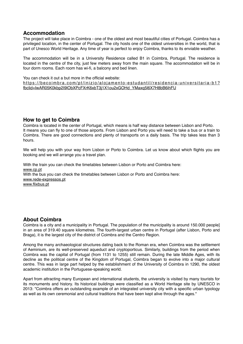### **Accommodation**

The project will take place in Coimbra - one of the oldest and most beautiful cities of Portugal. Coimbra has a privileged location, in the center of Portugal. The city hosts one of the oldest universities in the world, that is part of Unesco World Heritage. Any time of year is perfect to enjoy Coimbra, thanks to its enviable weather.

The accommodation will be in a University Residence called B1 in Coimbra, Portugal. The residence is located in the centre of the city, just few meters away from the main square. The accommodation will be in four dorm rooms. Each room has wi-fi, a balcony and bed linen.

You can check it out a but more in the official website:

[https://becoimbra.com/pt/inizio/alojamento-estudantil/residencia-universitaria-b1?](https://becoimbra.com/pt/inizio/alojamento-estudantil/residencia-universitaria-b1?fbclid=IwAR05K0kbp2I9lObXPcFXrK6xbT3j1X1ou2xGOHd_YMaxq5l6X7H8bB6ihFU) [fbclid=IwAR05K0kbp2I9lObXPcFXrK6xbT3j1X1ou2xGOHd\\_YMaxq5l6X7H8bB6ihFU](https://becoimbra.com/pt/inizio/alojamento-estudantil/residencia-universitaria-b1?fbclid=IwAR05K0kbp2I9lObXPcFXrK6xbT3j1X1ou2xGOHd_YMaxq5l6X7H8bB6ihFU)

# **How to get to Coimbra**

Coimbra is located in the center of Portugal, which means is half way distance between Lisbon and Porto. It means you can fly to one of those airports. From Lisbon and Porto you will need to take a bus or a train to Coimbra. There are good connections and plenty of transports on a daily basis. The trip takes less than 3 hours.

We will help you with your way from Lisbon or Porto to Coimbra. Let us know about which flights you are booking and we will arrange you a travel plan.

With the train you can check the timetables between Lisbon or Porto and Coimbra here: [www.cp.pt](http://www.cp.pt) With the bus you can check the timetables between Lisbon or Porto and Coimbra here: [www.rede-expressos.pt](http://www.rede-expressos.pt) [www.flixbus.pt](http://www.flixbus.pt)

### **About Coimbra**

Coimbra is a city and a municipality in Portugal. The population of the municipality is around 150.000 people] in an area of 319.40 square kilometres. The fourth-largest urban centre in Portugal (after Lisbon, Porto and Braga), it is the largest city of the district of Coimbra and the Centro Region.

Among the many archaeological structures dating back to the Roman era, when Coimbra was the settlement of Aeminium, are its well-preserved aqueduct and cryptoporticus. Similarly, buildings from the period when Coimbra was the capital of Portugal (from 1131 to 1255) still remain. During the late Middle Ages, with its decline as the political centre of the Kingdom of Portugal, Coimbra began to evolve into a major cultural centre. This was in large part helped by the establishment of the University of Coimbra in 1290, the oldest academic institution in the Portuguese-speaking world.

Apart from attracting many European and international students, the university is visited by many tourists for its monuments and history. Its historical buildings were classified as a World Heritage site by UNESCO in 2013: "Coimbra offers an outstanding example of an integrated university city with a specific urban typology as well as its own ceremonial and cultural traditions that have been kept alive through the ages."